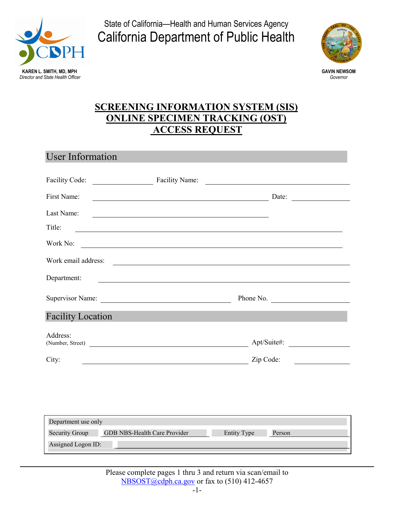

State of California—Health and Human Services Agency California Department of Public Health



## **SCREENING INFORMATION SYSTEM (SIS) ONLINE SPECIMEN TRACKING (OST) ACCESS REQUEST**

## User Information

| Facility Code:           | Facility Name:                                                                                                       | <u> 1989 - Johann Barn, mars ar breithinn ar chuid ann an t-Alban ann an t-Alban ann an t-Alban ann an t-Alban a</u>             |
|--------------------------|----------------------------------------------------------------------------------------------------------------------|----------------------------------------------------------------------------------------------------------------------------------|
| First Name:              |                                                                                                                      | Date:<br><u> The Communication of the Communication of the Communication of the Communication of the Communication of the Co</u> |
| Last Name:               |                                                                                                                      |                                                                                                                                  |
| Title:                   |                                                                                                                      |                                                                                                                                  |
| Work No:                 |                                                                                                                      |                                                                                                                                  |
| Work email address:      | <u> Alexandria de la contrada de la contrada de la contrada de la contrada de la contrada de la contrada de la c</u> |                                                                                                                                  |
| Department:              |                                                                                                                      |                                                                                                                                  |
|                          |                                                                                                                      | Phone No.                                                                                                                        |
| <b>Facility Location</b> |                                                                                                                      |                                                                                                                                  |
| Address:                 | (Number, Street)                                                                                                     | Apt/Suite#:                                                                                                                      |
| City:                    |                                                                                                                      | Zip Code:                                                                                                                        |
|                          |                                                                                                                      |                                                                                                                                  |
|                          |                                                                                                                      |                                                                                                                                  |
|                          |                                                                                                                      |                                                                                                                                  |
| Department use only      |                                                                                                                      |                                                                                                                                  |
|                          | Security Group GDB NBS-Health Care Provider<br><b>Entity Type</b>                                                    | Person                                                                                                                           |
| Assigned Logon ID:       |                                                                                                                      |                                                                                                                                  |

Please complete pages 1 thru 3 and return via scan/email to [NBSOST@cdph.ca.gov](mailto:NBSOST@cdph.ca.gov) or fax to (510) 412-4657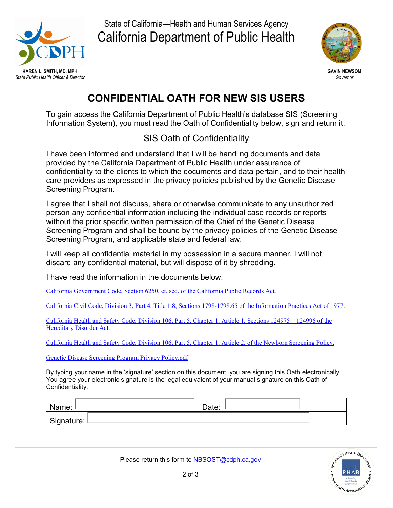

State of California—Health and Human Services Agency California Department of Public Health



## **CONFIDENTIAL OATH FOR NEW SIS USERS**

To gain access the California Department of Public Health's database SIS (Screening Information System), you must read the Oath of Confidentiality below, sign and return it.

## SIS Oath of Confidentiality

I have been informed and understand that I will be handling documents and data provided by the California Department of Public Health under assurance of confidentiality to the clients to which the documents and data pertain, and to their health care providers as expressed in the privacy policies published by the Genetic Disease Screening Program.

I agree that I shall not discuss, share or otherwise communicate to any unauthorized person any confidential information including the individual case records or reports without the prior specific written permission of the Chief of the Genetic Disease Screening Program and shall be bound by the privacy policies of the Genetic Disease Screening Program, and applicable state and federal law.

I will keep all confidential material in my possession in a secure manner. I will not discard any confidential material, but will dispose of it by shredding.

I have read the information in the documents below.

California Government Code, [Section 6250, et. seq. of the California Public Records Act.](https://leginfo.legislature.ca.gov/faces/codes_displayText.xhtml?lawCode=GOV&division=7.&title=1.&part=&chapter=3.5.&article=1)

[California Civil Code, Division 3, Part 4, Title 1.8, Sections 1798-1798.65](http://leginfo.legislature.ca.gov/faces/codes_displayText.xhtml?division=3.&chapter=1.&part=4.&lawCode=CIV&title=1.8.&article=8.) of the Information Practices Act of 1977.

[California Health and Safety Code, Division 106, Part 5, Chapter 1. Article 1, Sections 124975 –](https://leginfo.legislature.ca.gov/faces/codes_displayText.xhtml?lawCode=HSC&division=106.&title=&part=5.&chapter=1.&article=1.) 124996 of the [Hereditary Disorder Act.](https://leginfo.legislature.ca.gov/faces/codes_displayText.xhtml?lawCode=HSC&division=106.&title=&part=5.&chapter=1.&article=1.)

[California Health and Safety Code, Division 106, Part 5, Chapter 1. Article 2, of the Newborn Screening](https://leginfo.legislature.ca.gov/faces/codes_displayText.xhtml?lawCode=HSC&division=106.&title=&part=5.&chapter=1.&article=2.) Policy.

[Genetic Disease Screening Program Privacy Policy.pdf](https://www.cdph.ca.gov/Programs/CFH/DGDS/Pages/nbs/nbsnpp.aspx)

By typing your name in the 'signature' section on this document, you are signing this Oath electronically. You agree your electronic signature is the legal equivalent of your manual signature on this Oath of Confidentiality.

| Vame:        | Date: |  |
|--------------|-------|--|
| Signature: L |       |  |